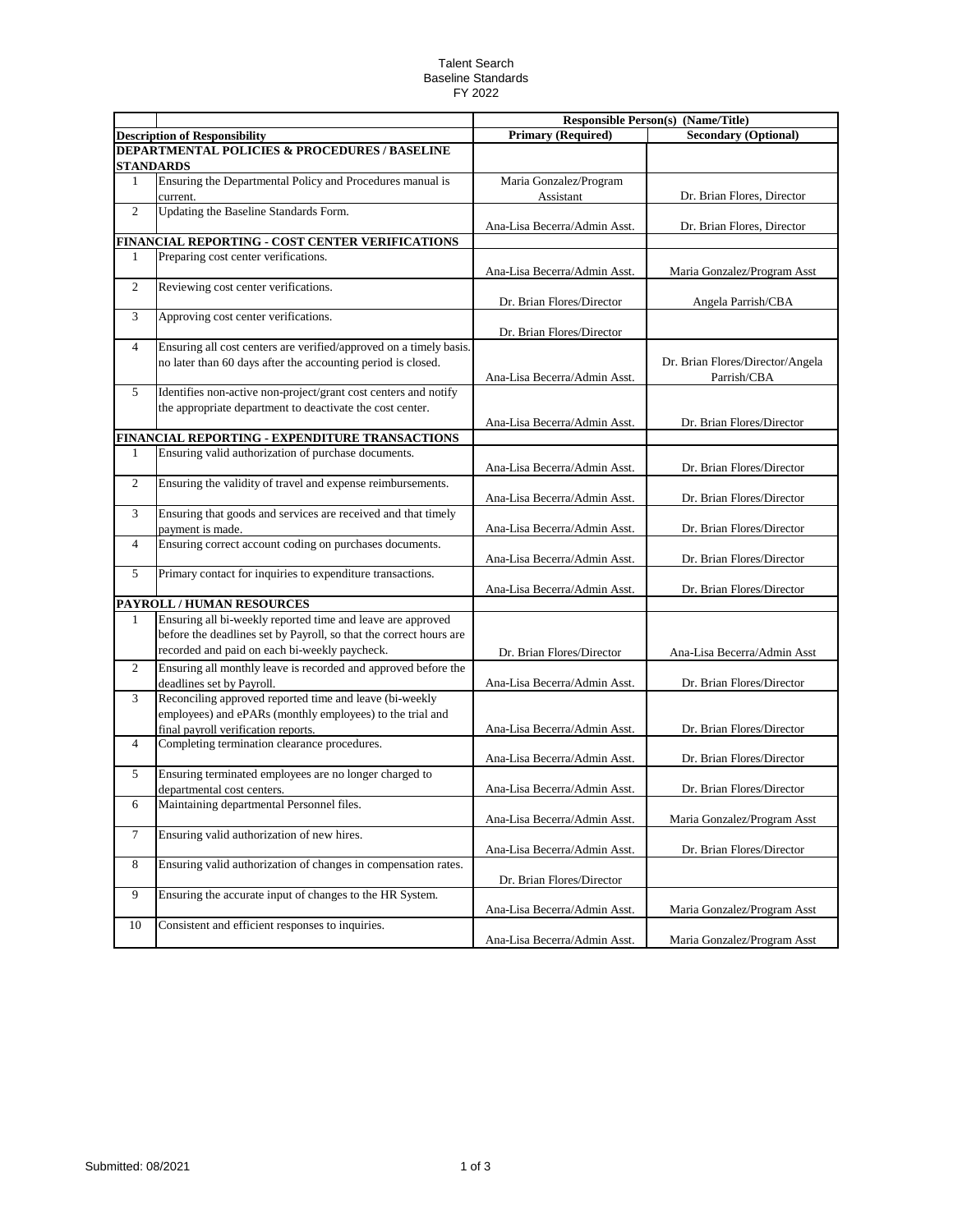## Talent Search Baseline Standards FY 2022

|                |                                                                                          |                              | <b>Responsible Person(s) (Name/Title)</b> |
|----------------|------------------------------------------------------------------------------------------|------------------------------|-------------------------------------------|
|                | <b>Description of Responsibility</b>                                                     | <b>Primary (Required)</b>    | <b>Secondary (Optional)</b>               |
|                | <b>DEPARTMENTAL POLICIES &amp; PROCEDURES / BASELINE</b>                                 |                              |                                           |
|                | <b>STANDARDS</b>                                                                         |                              |                                           |
| $\mathbf{1}$   | Ensuring the Departmental Policy and Procedures manual is                                | Maria Gonzalez/Program       |                                           |
|                | current.                                                                                 | Assistant                    | Dr. Brian Flores, Director                |
| $\overline{2}$ | Updating the Baseline Standards Form.                                                    |                              |                                           |
|                |                                                                                          | Ana-Lisa Becerra/Admin Asst. | Dr. Brian Flores, Director                |
|                | FINANCIAL REPORTING - COST CENTER VERIFICATIONS                                          |                              |                                           |
| 1              | Preparing cost center verifications.                                                     |                              |                                           |
|                |                                                                                          | Ana-Lisa Becerra/Admin Asst. | Maria Gonzalez/Program Asst               |
| 2              | Reviewing cost center verifications.                                                     |                              |                                           |
|                |                                                                                          | Dr. Brian Flores/Director    | Angela Parrish/CBA                        |
| 3              | Approving cost center verifications.                                                     |                              |                                           |
|                |                                                                                          | Dr. Brian Flores/Director    |                                           |
| 4              | Ensuring all cost centers are verified/approved on a timely basis.                       |                              |                                           |
|                | no later than 60 days after the accounting period is closed.                             |                              | Dr. Brian Flores/Director/Angela          |
|                |                                                                                          | Ana-Lisa Becerra/Admin Asst. | Parrish/CBA                               |
| 5              | Identifies non-active non-project/grant cost centers and notify                          |                              |                                           |
|                | the appropriate department to deactivate the cost center.                                |                              |                                           |
|                |                                                                                          | Ana-Lisa Becerra/Admin Asst. | Dr. Brian Flores/Director                 |
|                | FINANCIAL REPORTING - EXPENDITURE TRANSACTIONS                                           |                              |                                           |
| 1              | Ensuring valid authorization of purchase documents.                                      |                              |                                           |
|                |                                                                                          | Ana-Lisa Becerra/Admin Asst. | Dr. Brian Flores/Director                 |
| 2              | Ensuring the validity of travel and expense reimbursements.                              |                              |                                           |
|                |                                                                                          | Ana-Lisa Becerra/Admin Asst. | Dr. Brian Flores/Director                 |
| 3              | Ensuring that goods and services are received and that timely                            |                              |                                           |
|                | payment is made.                                                                         | Ana-Lisa Becerra/Admin Asst. | Dr. Brian Flores/Director                 |
| 4              | Ensuring correct account coding on purchases documents.                                  |                              |                                           |
|                |                                                                                          | Ana-Lisa Becerra/Admin Asst. | Dr. Brian Flores/Director                 |
| 5              | Primary contact for inquiries to expenditure transactions.                               |                              |                                           |
|                |                                                                                          | Ana-Lisa Becerra/Admin Asst. | Dr. Brian Flores/Director                 |
| 1              | PAYROLL / HUMAN RESOURCES<br>Ensuring all bi-weekly reported time and leave are approved |                              |                                           |
|                |                                                                                          |                              |                                           |
|                | before the deadlines set by Payroll, so that the correct hours are                       |                              |                                           |
|                | recorded and paid on each bi-weekly paycheck.                                            | Dr. Brian Flores/Director    | Ana-Lisa Becerra/Admin Asst               |
| 2              | Ensuring all monthly leave is recorded and approved before the                           |                              |                                           |
|                | deadlines set by Payroll.                                                                | Ana-Lisa Becerra/Admin Asst. | Dr. Brian Flores/Director                 |
| 3              | Reconciling approved reported time and leave (bi-weekly                                  |                              |                                           |
|                | employees) and ePARs (monthly employees) to the trial and                                |                              |                                           |
|                | final payroll verification reports.                                                      | Ana-Lisa Becerra/Admin Asst. | Dr. Brian Flores/Director                 |
| 4              | Completing termination clearance procedures.                                             |                              |                                           |
|                |                                                                                          | Ana-Lisa Becerra/Admin Asst. | Dr. Brian Flores/Director                 |
| 5              | Ensuring terminated employees are no longer charged to                                   | Ana-Lisa Becerra/Admin Asst. | Dr. Brian Flores/Director                 |
|                | departmental cost centers.<br>Maintaining departmental Personnel files.                  |                              |                                           |
| 6              |                                                                                          |                              |                                           |
| $\tau$         | Ensuring valid authorization of new hires.                                               | Ana-Lisa Becerra/Admin Asst. | Maria Gonzalez/Program Asst               |
|                |                                                                                          | Ana-Lisa Becerra/Admin Asst. | Dr. Brian Flores/Director                 |
| 8              | Ensuring valid authorization of changes in compensation rates.                           |                              |                                           |
|                |                                                                                          | Dr. Brian Flores/Director    |                                           |
| 9              | Ensuring the accurate input of changes to the HR System.                                 |                              |                                           |
|                |                                                                                          | Ana-Lisa Becerra/Admin Asst. | Maria Gonzalez/Program Asst               |
| 10             | Consistent and efficient responses to inquiries.                                         |                              |                                           |
|                |                                                                                          | Ana-Lisa Becerra/Admin Asst. | Maria Gonzalez/Program Asst               |
|                |                                                                                          |                              |                                           |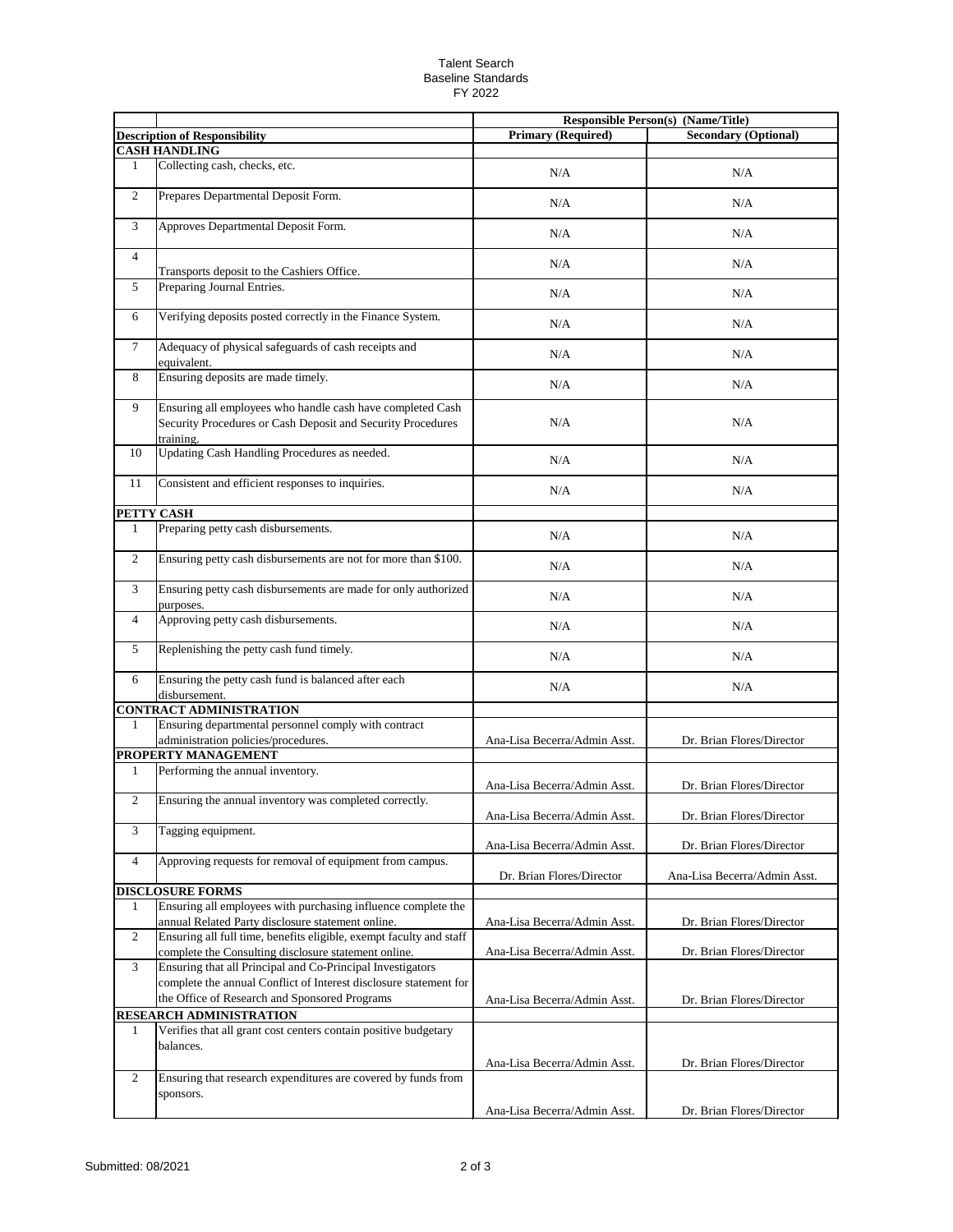## Talent Search Baseline Standards FY 2022

|                |                                                                                                                                                                                  |                              | <b>Responsible Person(s) (Name/Title)</b> |
|----------------|----------------------------------------------------------------------------------------------------------------------------------------------------------------------------------|------------------------------|-------------------------------------------|
|                | <b>Description of Responsibility</b>                                                                                                                                             | <b>Primary (Required)</b>    | <b>Secondary (Optional)</b>               |
|                | <b>CASH HANDLING</b>                                                                                                                                                             |                              |                                           |
| 1              | Collecting cash, checks, etc.                                                                                                                                                    | N/A                          | N/A                                       |
| 2              | Prepares Departmental Deposit Form.                                                                                                                                              | N/A                          | N/A                                       |
| 3              | Approves Departmental Deposit Form.                                                                                                                                              | N/A                          | N/A                                       |
| $\overline{4}$ | Transports deposit to the Cashiers Office.                                                                                                                                       | N/A                          | N/A                                       |
| $\mathfrak{S}$ | Preparing Journal Entries.                                                                                                                                                       | N/A                          | N/A                                       |
| 6              | Verifying deposits posted correctly in the Finance System.                                                                                                                       | N/A                          | N/A                                       |
| $\tau$         | Adequacy of physical safeguards of cash receipts and<br>equivalent.                                                                                                              | N/A                          | N/A                                       |
| 8              | Ensuring deposits are made timely.                                                                                                                                               | N/A                          | N/A                                       |
| 9              | Ensuring all employees who handle cash have completed Cash<br>Security Procedures or Cash Deposit and Security Procedures<br>training.                                           | N/A                          | N/A                                       |
| 10             | Updating Cash Handling Procedures as needed.                                                                                                                                     | N/A                          | N/A                                       |
| 11             | Consistent and efficient responses to inquiries.                                                                                                                                 | N/A                          | N/A                                       |
|                | PETTY CASH                                                                                                                                                                       |                              |                                           |
| $\mathbf{1}$   | Preparing petty cash disbursements.                                                                                                                                              | N/A                          | N/A                                       |
| $\overline{2}$ | Ensuring petty cash disbursements are not for more than \$100.                                                                                                                   | N/A                          | N/A                                       |
| 3              | Ensuring petty cash disbursements are made for only authorized<br>purposes.                                                                                                      | N/A                          | N/A                                       |
| $\overline{4}$ | Approving petty cash disbursements.                                                                                                                                              | N/A                          | N/A                                       |
| $\mathfrak{S}$ | Replenishing the petty cash fund timely.                                                                                                                                         | N/A                          | N/A                                       |
| 6              | Ensuring the petty cash fund is balanced after each<br>disbursement.                                                                                                             | N/A                          | N/A                                       |
|                | <b>CONTRACT ADMINISTRATION</b>                                                                                                                                                   |                              |                                           |
| 1              | Ensuring departmental personnel comply with contract<br>administration policies/procedures.                                                                                      | Ana-Lisa Becerra/Admin Asst. | Dr. Brian Flores/Director                 |
|                | PROPERTY MANAGEMENT                                                                                                                                                              |                              |                                           |
| 1              | Performing the annual inventory.                                                                                                                                                 | Ana-Lisa Becerra/Admin Asst. | Dr. Brian Flores/Director                 |
| $\overline{2}$ | Ensuring the annual inventory was completed correctly.                                                                                                                           | Ana-Lisa Becerra/Admin Asst. | Dr. Brian Flores/Director                 |
| 3              | Tagging equipment.                                                                                                                                                               | Ana-Lisa Becerra/Admin Asst. | Dr. Brian Flores/Director                 |
| $\overline{4}$ | Approving requests for removal of equipment from campus.                                                                                                                         | Dr. Brian Flores/Director    | Ana-Lisa Becerra/Admin Asst.              |
|                | <b>DISCLOSURE FORMS</b>                                                                                                                                                          |                              |                                           |
| $\mathbf{1}$   | Ensuring all employees with purchasing influence complete the<br>annual Related Party disclosure statement online.                                                               | Ana-Lisa Becerra/Admin Asst. | Dr. Brian Flores/Director                 |
| $\overline{2}$ | Ensuring all full time, benefits eligible, exempt faculty and staff<br>complete the Consulting disclosure statement online.                                                      | Ana-Lisa Becerra/Admin Asst. | Dr. Brian Flores/Director                 |
| 3              | Ensuring that all Principal and Co-Principal Investigators<br>complete the annual Conflict of Interest disclosure statement for<br>the Office of Research and Sponsored Programs | Ana-Lisa Becerra/Admin Asst. | Dr. Brian Flores/Director                 |
|                | RESEARCH ADMINISTRATION                                                                                                                                                          |                              |                                           |
| 1              | Verifies that all grant cost centers contain positive budgetary<br>balances.                                                                                                     |                              |                                           |
|                |                                                                                                                                                                                  | Ana-Lisa Becerra/Admin Asst. | Dr. Brian Flores/Director                 |
| 2              | Ensuring that research expenditures are covered by funds from<br>sponsors.                                                                                                       |                              |                                           |
|                |                                                                                                                                                                                  | Ana-Lisa Becerra/Admin Asst. | Dr. Brian Flores/Director                 |